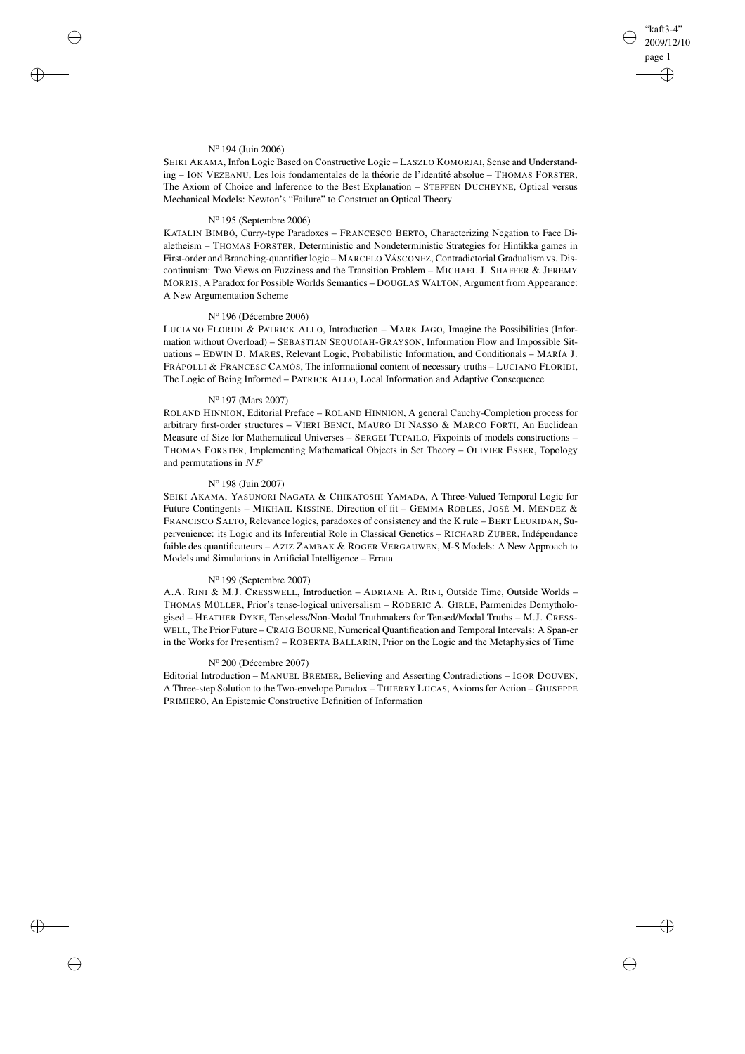# "kaft3-4" 2009/12/10 page 1 ✐ ✐

✐

✐

### N<sup>o</sup> 194 (Juin 2006)

✐

✐

✐

✐

SEIKI AKAMA, Infon Logic Based on Constructive Logic – LASZLO KOMORJAI, Sense and Understanding – ION VEZEANU, Les lois fondamentales de la théorie de l'identité absolue – THOMAS FORSTER, The Axiom of Choice and Inference to the Best Explanation – STEFFEN DUCHEYNE, Optical versus Mechanical Models: Newton's "Failure" to Construct an Optical Theory

#### N<sup>o</sup> 195 (Septembre 2006)

KATALIN BIMBÓ, Curry-type Paradoxes – FRANCESCO BERTO, Characterizing Negation to Face Dialetheism – THOMAS FORSTER, Deterministic and Nondeterministic Strategies for Hintikka games in First-order and Branching-quantifier logic – MARCELO VÁSCONEZ, Contradictorial Gradualism vs. Discontinuism: Two Views on Fuzziness and the Transition Problem – MICHAEL J. SHAFFER & JEREMY MORRIS, A Paradox for Possible Worlds Semantics – DOUGLAS WALTON, Argument from Appearance: A New Argumentation Scheme

#### N<sup>o</sup> 196 (Décembre 2006)

LUCIANO FLORIDI & PATRICK ALLO, Introduction – MARK JAGO, Imagine the Possibilities (Information without Overload) – SEBASTIAN SEQUOIAH-GRAYSON, Information Flow and Impossible Situations – EDWIN D. MARES, Relevant Logic, Probabilistic Information, and Conditionals – MARÍA J. FRÁPOLLI & FRANCESC CAMÓS, The informational content of necessary truths – LUCIANO FLORIDI, The Logic of Being Informed – PATRICK ALLO, Local Information and Adaptive Consequence

#### N<sup>o</sup> 197 (Mars 2007)

ROLAND HINNION, Editorial Preface – ROLAND HINNION, A general Cauchy-Completion process for arbitrary first-order structures – VIERI BENCI, MAURO DI NASSO & MARCO FORTI, An Euclidean Measure of Size for Mathematical Universes – SERGEI TUPAILO, Fixpoints of models constructions – THOMAS FORSTER, Implementing Mathematical Objects in Set Theory – OLIVIER ESSER, Topology and permutations in NF

# N<sup>o</sup> 198 (Juin 2007)

SEIKI AKAMA, YASUNORI NAGATA & CHIKATOSHI YAMADA, A Three-Valued Temporal Logic for Future Contingents – MIKHAIL KISSINE, Direction of fit – GEMMA ROBLES, JOSÉ M. MÉNDEZ & FRANCISCO SALTO, Relevance logics, paradoxes of consistency and the K rule – BERT LEURIDAN, Supervenience: its Logic and its Inferential Role in Classical Genetics – RICHARD ZUBER, Indépendance faible des quantificateurs – AZIZ ZAMBAK & ROGER VERGAUWEN, M-S Models: A New Approach to Models and Simulations in Artificial Intelligence – Errata

# N<sup>o</sup> 199 (Septembre 2007)

A.A. RINI & M.J. CRESSWELL, Introduction – ADRIANE A. RINI, Outside Time, Outside Worlds – THOMAS MÜLLER, Prior's tense-logical universalism – RODERIC A. GIRLE, Parmenides Demythologised – HEATHER DYKE, Tenseless/Non-Modal Truthmakers for Tensed/Modal Truths – M.J. CRESS-WELL, The Prior Future – CRAIG BOURNE, Numerical Quantification and Temporal Intervals: A Span-er in the Works for Presentism? – ROBERTA BALLARIN, Prior on the Logic and the Metaphysics of Time

# N<sup>o</sup> 200 (Décembre 2007)

Editorial Introduction – MANUEL BREMER, Believing and Asserting Contradictions – IGOR DOUVEN, A Three-step Solution to the Two-envelope Paradox – THIERRY LUCAS, Axioms for Action – GIUSEPPE PRIMIERO, An Epistemic Constructive Definition of Information